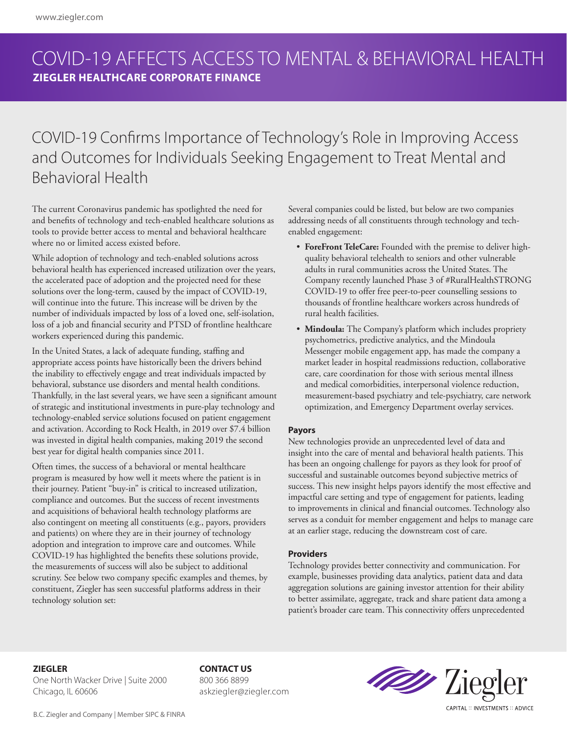## COVID-19 AFFECTS ACCESS TO MENTAL & BEHAVIORAL HEALTH **ZIEGLER HEALTHCARE CORPORATE FINANCE**

# COVID-19 Confirms Importance of Technology's Role in Improving Access and Outcomes for Individuals Seeking Engagement to Treat Mental and Behavioral Health

The current Coronavirus pandemic has spotlighted the need for and benefits of technology and tech-enabled healthcare solutions as tools to provide better access to mental and behavioral healthcare where no or limited access existed before.

While adoption of technology and tech-enabled solutions across behavioral health has experienced increased utilization over the years, the accelerated pace of adoption and the projected need for these solutions over the long-term, caused by the impact of COVID-19, will continue into the future. This increase will be driven by the number of individuals impacted by loss of a loved one, self-isolation, loss of a job and financial security and PTSD of frontline healthcare workers experienced during this pandemic.

In the United States, a lack of adequate funding, staffing and appropriate access points have historically been the drivers behind the inability to effectively engage and treat individuals impacted by behavioral, substance use disorders and mental health conditions. Thankfully, in the last several years, we have seen a significant amount of strategic and institutional investments in pure-play technology and technology-enabled service solutions focused on patient engagement and activation. According to Rock Health, in 2019 over \$7.4 billion was invested in digital health companies, making 2019 the second best year for digital health companies since 2011.

Often times, the success of a behavioral or mental healthcare program is measured by how well it meets where the patient is in their journey. Patient "buy-in" is critical to increased utilization, compliance and outcomes. But the success of recent investments and acquisitions of behavioral health technology platforms are also contingent on meeting all constituents (e.g., payors, providers and patients) on where they are in their journey of technology adoption and integration to improve care and outcomes. While COVID-19 has highlighted the benefits these solutions provide, the measurements of success will also be subject to additional scrutiny. See below two company specific examples and themes, by constituent, Ziegler has seen successful platforms address in their technology solution set:

Several companies could be listed, but below are two companies addressing needs of all constituents through technology and techenabled engagement:

- **ForeFront TeleCare:** Founded with the premise to deliver highquality behavioral telehealth to seniors and other vulnerable adults in rural communities across the United States. The Company recently launched Phase 3 of #RuralHealthSTRONG COVID-19 to offer free peer-to-peer counselling sessions to thousands of frontline healthcare workers across hundreds of rural health facilities.
- **Mindoula:** The Company's platform which includes propriety psychometrics, predictive analytics, and the Mindoula Messenger mobile engagement app, has made the company a market leader in hospital readmissions reduction, collaborative care, care coordination for those with serious mental illness and medical comorbidities, interpersonal violence reduction, measurement-based psychiatry and tele-psychiatry, care network optimization, and Emergency Department overlay services.

### **Payors**

New technologies provide an unprecedented level of data and insight into the care of mental and behavioral health patients. This has been an ongoing challenge for payors as they look for proof of successful and sustainable outcomes beyond subjective metrics of success. This new insight helps payors identify the most effective and impactful care setting and type of engagement for patients, leading to improvements in clinical and financial outcomes. Technology also serves as a conduit for member engagement and helps to manage care at an earlier stage, reducing the downstream cost of care.

### **Providers**

Technology provides better connectivity and communication. For example, businesses providing data analytics, patient data and data aggregation solutions are gaining investor attention for their ability to better assimilate, aggregate, track and share patient data among a patient's broader care team. This connectivity offers unprecedented

**ZIEGLER**

One North Wacker Drive | Suite 2000 Chicago, IL 60606

**CONTACT US** 800 366 8899 askziegler@ziegler.com



B.C. Ziegler and Company | Member SIPC & FINRA